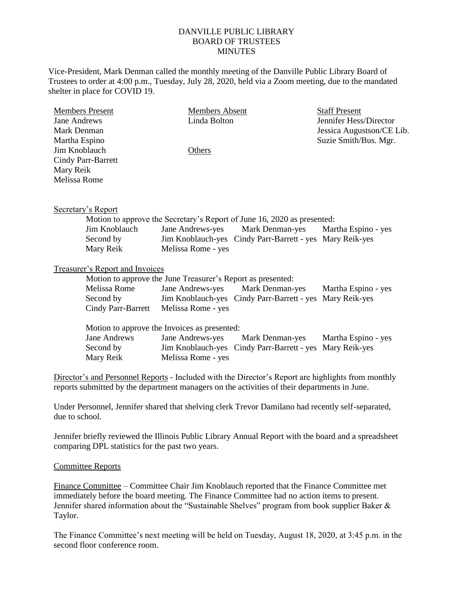## DANVILLE PUBLIC LIBRARY BOARD OF TRUSTEES **MINUTES**

Vice-President, Mark Denman called the monthly meeting of the Danville Public Library Board of Trustees to order at 4:00 p.m., Tuesday, July 28, 2020, held via a Zoom meeting, due to the mandated shelter in place for COVID 19.

| <b>Members Present</b> | <b>Members Absent</b> | <b>Staff Present</b>      |
|------------------------|-----------------------|---------------------------|
| Jane Andrews           | Linda Bolton          | Jennifer Hess/Director    |
| Mark Denman            |                       | Jessica Augustson/CE Lib. |
| Martha Espino          |                       | Suzie Smith/Bus. Mgr.     |
| Jim Knoblauch          | Others                |                           |
| Cindy Parr-Barrett     |                       |                           |
| Mary Reik              |                       |                           |
| Melissa Rome           |                       |                           |
|                        |                       |                           |
|                        |                       |                           |

Secretary's Report

| Motion to approve the Secretary's Report of June 16, 2020 as presented: |                    |                                                          |                     |  |
|-------------------------------------------------------------------------|--------------------|----------------------------------------------------------|---------------------|--|
| Jim Knoblauch                                                           |                    | Jane Andrews-yes Mark Denman-yes                         | Martha Espino - yes |  |
| Second by                                                               |                    | Jim Knoblauch-yes Cindy Parr-Barrett - yes Mary Reik-yes |                     |  |
| Mary Reik                                                               | Melissa Rome - yes |                                                          |                     |  |

## Treasurer's Report and Invoices

| Motion to approve the June Treasurer's Report as presented: |                    |                                                          |                     |
|-------------------------------------------------------------|--------------------|----------------------------------------------------------|---------------------|
| Melissa Rome                                                |                    | Jane Andrews-yes Mark Denman-yes                         | Martha Espino - yes |
| Second by                                                   |                    | Jim Knoblauch-yes Cindy Parr-Barrett - yes Mary Reik-yes |                     |
| Cindy Parr-Barrett                                          | Melissa Rome - yes |                                                          |                     |
|                                                             |                    |                                                          |                     |

Motion to approve the Invoices as presented:

| Jane Andrews | Jane Andrews-yes   | Mark Denman-yes                                          | Martha Espino - yes |
|--------------|--------------------|----------------------------------------------------------|---------------------|
| Second by    |                    | Jim Knoblauch-yes Cindy Parr-Barrett - yes Mary Reik-yes |                     |
| Mary Reik    | Melissa Rome - yes |                                                          |                     |

Director's and Personnel Reports - Included with the Director's Report are highlights from monthly reports submitted by the department managers on the activities of their departments in June.

Under Personnel, Jennifer shared that shelving clerk Trevor Damilano had recently self-separated, due to school.

Jennifer briefly reviewed the Illinois Public Library Annual Report with the board and a spreadsheet comparing DPL statistics for the past two years.

## Committee Reports

Finance Committee – Committee Chair Jim Knoblauch reported that the Finance Committee met immediately before the board meeting. The Finance Committee had no action items to present. Jennifer shared information about the "Sustainable Shelves" program from book supplier Baker & Taylor.

The Finance Committee's next meeting will be held on Tuesday, August 18, 2020, at 3:45 p.m. in the second floor conference room.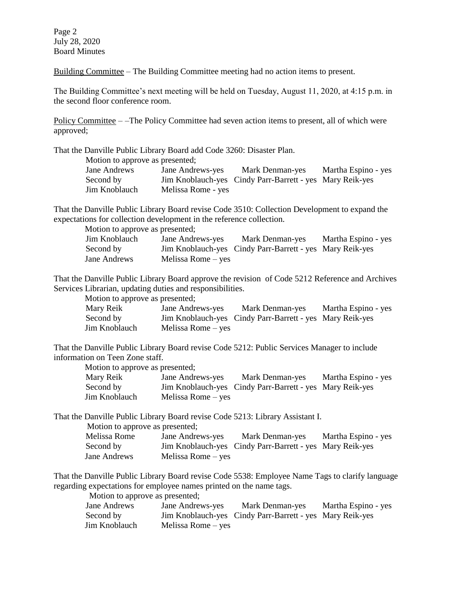Page 2 July 28, 2020 Board Minutes

Building Committee – The Building Committee meeting had no action items to present.

The Building Committee's next meeting will be held on Tuesday, August 11, 2020, at 4:15 p.m. in the second floor conference room.

Policy Committee – –The Policy Committee had seven action items to present, all of which were approved;

That the Danville Public Library Board add Code 3260: Disaster Plan.

Motion to approve as presented;

| Jane Andrews  | Jane Andrews-yes   | Mark Denman-yes                                          | Martha Espino - yes |
|---------------|--------------------|----------------------------------------------------------|---------------------|
| Second by     |                    | Jim Knoblauch-yes Cindy Parr-Barrett - yes Mary Reik-yes |                     |
| Jim Knoblauch | Melissa Rome - yes |                                                          |                     |

That the Danville Public Library Board revise Code 3510: Collection Development to expand the expectations for collection development in the reference collection.

Motion to approve as presented;

| Jim Knoblauch | Jane Andrews-yes     | Mark Denman-yes                                          | Martha Espino - yes |
|---------------|----------------------|----------------------------------------------------------|---------------------|
| Second by     |                      | Jim Knoblauch-yes Cindy Parr-Barrett - yes Mary Reik-yes |                     |
| Jane Andrews  | Melissa Rome $-$ yes |                                                          |                     |

That the Danville Public Library Board approve the revision of Code 5212 Reference and Archives Services Librarian, updating duties and responsibilities.

Motion to approve as presented;

| Mary Reik     | Jane Andrews-yes     | Mark Denman-yes                                          | Martha Espino - yes |
|---------------|----------------------|----------------------------------------------------------|---------------------|
| Second by     |                      | Jim Knoblauch-yes Cindy Parr-Barrett - yes Mary Reik-yes |                     |
| Jim Knoblauch | Melissa Rome $-$ yes |                                                          |                     |

That the Danville Public Library Board revise Code 5212: Public Services Manager to include information on Teen Zone staff.

Motion to approve as presented;

| Mary Reik     | Jane Andrews-yes   | Mark Denman-yes                                          | Martha Espino - yes |
|---------------|--------------------|----------------------------------------------------------|---------------------|
| Second by     |                    | Jim Knoblauch-yes Cindy Parr-Barrett - yes Mary Reik-yes |                     |
| Jim Knoblauch | Melissa Rome – yes |                                                          |                     |

That the Danville Public Library Board revise Code 5213: Library Assistant I.

Motion to approve as presented;

| Melissa Rome | Jane Andrews-yes     | Mark Denman-yes                                          | Martha Espino - yes |
|--------------|----------------------|----------------------------------------------------------|---------------------|
| Second by    |                      | Jim Knoblauch-yes Cindy Parr-Barrett - yes Mary Reik-yes |                     |
| Jane Andrews | Melissa Rome $-$ yes |                                                          |                     |

That the Danville Public Library Board revise Code 5538: Employee Name Tags to clarify language regarding expectations for employee names printed on the name tags.

Motion to approve as presented;

| Jane Andrews  | Jane Andrews-yes     | Mark Denman-yes                                          | Martha Espino - yes |
|---------------|----------------------|----------------------------------------------------------|---------------------|
| Second by     |                      | Jim Knoblauch-yes Cindy Parr-Barrett - yes Mary Reik-yes |                     |
| Jim Knoblauch | Melissa Rome $-$ yes |                                                          |                     |